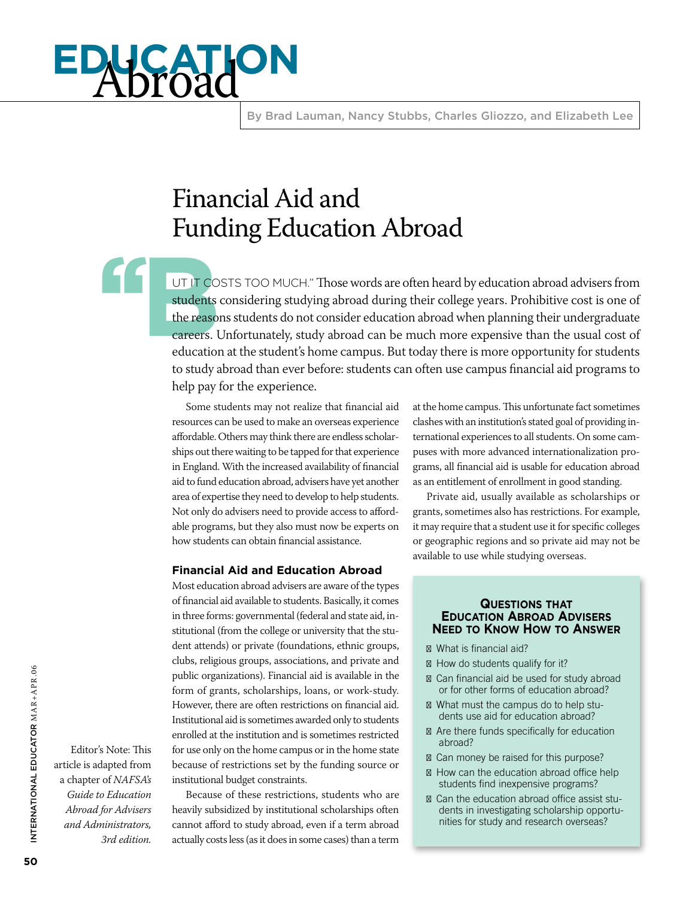# **education** Abroad

By Brad Lauman, Nancy Stubbs, Charles Gliozzo, and Elizabeth Lee

## Financial Aid and Funding Education Abroad

UT IT CO<br>students<br>the reason<br>careers. L UT IT COSTS TOO MUCH." Those words are often heard by education abroad advisers from students considering studying abroad during their college years. Prohibitive cost is one of the reasons students do not consider education abroad when planning their undergraduate careers. Unfortunately, study abroad can be much more expensive than the usual cost of education at the student's home campus. But today there is more opportunity for students to study abroad than ever before: students can often use campus financial aid programs to help pay for the experience.

> Some students may not realize that financial aid resources can be used to make an overseas experience affordable. Others may think there are endless scholarships out there waiting to be tapped for that experience in England. With the increased availability of financial aid to fund education abroad, advisers have yet another area of expertise they need to develop to help students. Not only do advisers need to provide access to affordable programs, but they also must now be experts on how students can obtain financial assistance.

#### **Financial Aid and Education Abroad**

Most education abroad advisers are aware of the types of financial aid available to students. Basically, it comes in three forms: governmental (federal and state aid, institutional (from the college or university that the student attends) or private (foundations, ethnic groups, clubs, religious groups, associations, and private and public organizations). Financial aid is available in the form of grants, scholarships, loans, or work-study. However, there are often restrictions on financial aid. Institutional aid is sometimes awarded only to students enrolled at the institution and is sometimes restricted for use only on the home campus or in the home state because of restrictions set by the funding source or institutional budget constraints.

Because of these restrictions, students who are heavily subsidized by institutional scholarships often cannot afford to study abroad, even if a term abroad actually costs less (as it does in some cases) than a term

at the home campus. This unfortunate fact sometimes clashes with an institution's stated goal of providing international experiences to all students. On some campuses with more advanced internationalization programs, all financial aid is usable for education abroad as an entitlement of enrollment in good standing.

Private aid, usually available as scholarships or grants, sometimes also has restrictions. For example, it may require that a student use it for specific colleges or geographic regions and so private aid may not be available to use while studying overseas.

#### **Questions that Education Abroad Advisers Need to Know How to Answer**

What is financial aid?

How do students qualify for it?

Can financial aid be used for study abroad or for other forms of education abroad?

What must the campus do to help students use aid for education abroad? Are there funds specifically for education abroad?

 Can money be raised for this purpose? How can the education abroad office help students find inexpensive programs?

Can the education abroad office assist students in investigating scholarship opportunities for study and research overseas?

Editor's Note: This article is adapted from a chapter of *NAFSA's Guide to Education Abroad for Advisers and Administrators, 3rd edition.*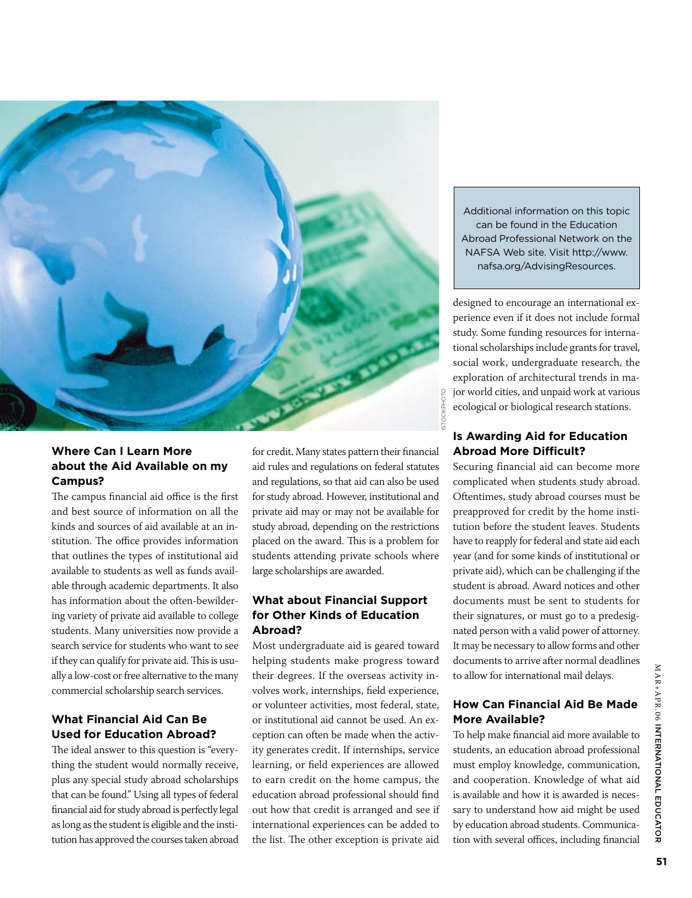

#### **Where Can I Learn More about the Aid Available on my Campus?**

The campus financial aid office is the first and best source of information on all the kinds and sources of aid available at an institution. The office provides information that outlines the types of institutional aid available to students as well as funds available through academic departments. It also has information about the often-bewildering variety of private aid available to college students. Many universities now provide a search service for students who want to see if they can qualify for private aid. This is usually a low-cost or free alternative to the many commercial scholarship search services.

#### **What Financial Aid Can Be Used for Education Abroad?**

The ideal answer to this question is "everything the student would normally receive, plus any special study abroad scholarships that can be found." Using all types of federal financial aid for study abroad is perfectly legal as long as the student is eligible and the institution has approved the courses taken abroad for credit. Many states pattern their financial aid rules and regulations on federal statutes and regulations, so that aid can also be used for study abroad. However, institutional and private aid may or may not be available for study abroad, depending on the restrictions placed on the award. This is a problem for students attending private schools where large scholarships are awarded.

#### **What about Financial Support for Other Kinds of Education Abroad?**

Most undergraduate aid is geared toward helping students make progress toward their degrees. If the overseas activity involves work, internships, field experience, or volunteer activities, most federal, state, or institutional aid cannot be used. An exception can often be made when the activity generates credit. If internships, service learning, or field experiences are allowed to earn credit on the home campus, the education abroad professional should find out how that credit is arranged and see if international experiences can be added to the list. The other exception is private aid

Additional information on this topic can be found in the Education Abroad Professional Network on the NAFSA Web site. Visit http://www. nafsa.org/AdvisingResources.

designed to encourage an international experience even if it does not include formal study. Some funding resources for international scholarships include grants for travel, social work, undergraduate research, the exploration of architectural trends in major world cities, and unpaid work at various ecological or biological research stations.

#### **Is Awarding Aid for Education Abroad More Difficult?**

Securing financial aid can become more complicated when students study abroad. Oftentimes, study abroad courses must be preapproved for credit by the home institution before the student leaves. Students have to reapply for federal and state aid each year (and for some kinds of institutional or private aid), which can be challenging if the student is abroad. Award notices and other documents must be sent to students for their signatures, or must go to a predesignated person with a valid power of attorney. It may be necessary to allow forms and other documents to arrive after normal deadlines to allow for international mail delays.

#### **How Can Financial Aid Be Made More Available?**

To help make financial aid more available to students, an education abroad professional must employ knowledge, communication, and cooperation. Knowledge of what aid is available and how it is awarded is necessary to understand how aid might be used by education abroad students. Communication with several offices, including financial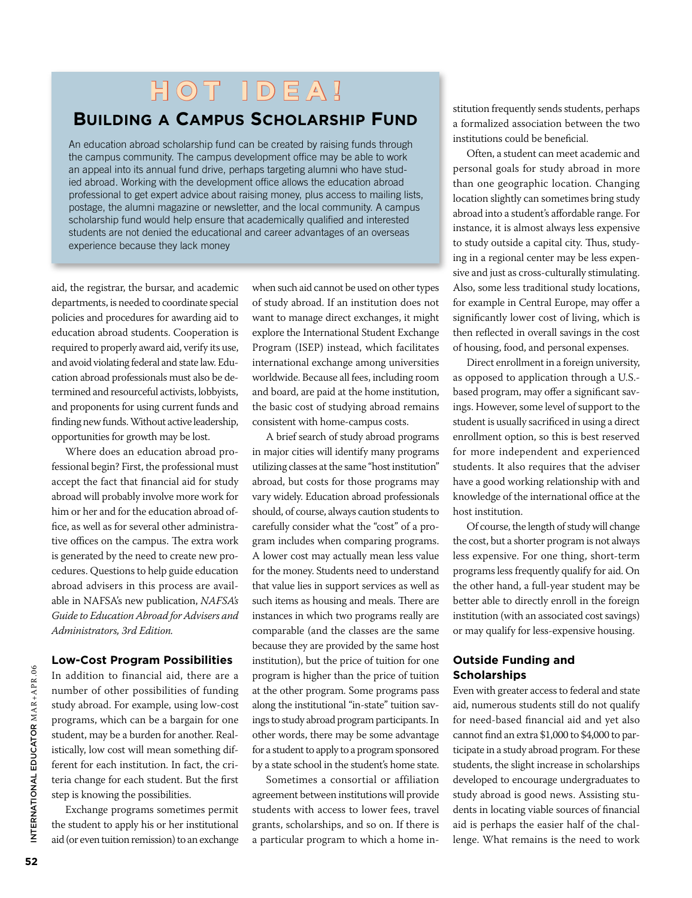## **H o t I d e a !**

### **Building a Campus Scholarship Fund**

An education abroad scholarship fund can be created by raising funds through the campus community. The campus development office may be able to work an appeal into its annual fund drive, perhaps targeting alumni who have studied abroad. Working with the development office allows the education abroad professional to get expert advice about raising money, plus access to mailing lists, postage, the alumni magazine or newsletter, and the local community. A campus scholarship fund would help ensure that academically qualified and interested students are not denied the educational and career advantages of an overseas experience because they lack money

aid, the registrar, the bursar, and academic departments, is needed to coordinate special policies and procedures for awarding aid to education abroad students. Cooperation is required to properly award aid, verify its use, and avoid violating federal and state law. Education abroad professionals must also be determined and resourceful activists, lobbyists, and proponents for using current funds and finding new funds. Without active leadership, opportunities for growth may be lost.

Where does an education abroad professional begin? First, the professional must accept the fact that financial aid for study abroad will probably involve more work for him or her and for the education abroad office, as well as for several other administrative offices on the campus. The extra work is generated by the need to create new procedures. Questions to help guide education abroad advisers in this process are available in NAFSA's new publication, *NAFSA's Guide to Education Abroad for Advisers and Administrators, 3rd Edition.*

#### **Low-Cost Program Possibilities**

In addition to financial aid, there are a number of other possibilities of funding study abroad. For example, using low-cost programs, which can be a bargain for one student, may be a burden for another. Realistically, low cost will mean something different for each institution. In fact, the criteria change for each student. But the first step is knowing the possibilities.

Exchange programs sometimes permit the student to apply his or her institutional aid (or even tuition remission) to an exchange when such aid cannot be used on other types of study abroad. If an institution does not want to manage direct exchanges, it might explore the International Student Exchange Program (ISEP) instead, which facilitates international exchange among universities worldwide. Because all fees, including room and board, are paid at the home institution, the basic cost of studying abroad remains consistent with home-campus costs.

A brief search of study abroad programs in major cities will identify many programs utilizing classes at the same "host institution" abroad, but costs for those programs may vary widely. Education abroad professionals should, of course, always caution students to carefully consider what the "cost" of a program includes when comparing programs. A lower cost may actually mean less value for the money. Students need to understand that value lies in support services as well as such items as housing and meals. There are instances in which two programs really are comparable (and the classes are the same because they are provided by the same host institution), but the price of tuition for one program is higher than the price of tuition at the other program. Some programs pass along the institutional "in-state" tuition savings to study abroad program participants. In other words, there may be some advantage for a student to apply to a program sponsored by a state school in the student's home state.

Sometimes a consortial or affiliation agreement between institutions will provide students with access to lower fees, travel grants, scholarships, and so on. If there is a particular program to which a home institution frequently sends students, perhaps a formalized association between the two institutions could be beneficial.

Often, a student can meet academic and personal goals for study abroad in more than one geographic location. Changing location slightly can sometimes bring study abroad into a student's affordable range. For instance, it is almost always less expensive to study outside a capital city. Thus, studying in a regional center may be less expensive and just as cross-culturally stimulating. Also, some less traditional study locations, for example in Central Europe, may offer a significantly lower cost of living, which is then reflected in overall savings in the cost of housing, food, and personal expenses.

Direct enrollment in a foreign university, as opposed to application through a U.S. based program, may offer a significant savings. However, some level of support to the student is usually sacrificed in using a direct enrollment option, so this is best reserved for more independent and experienced students. It also requires that the adviser have a good working relationship with and knowledge of the international office at the host institution.

Of course, the length of study will change the cost, but a shorter program is not always less expensive. For one thing, short-term programs less frequently qualify for aid. On the other hand, a full-year student may be better able to directly enroll in the foreign institution (with an associated cost savings) or may qualify for less-expensive housing.

#### **Outside Funding and Scholarships**

Even with greater access to federal and state aid, numerous students still do not qualify for need-based financial aid and yet also cannot find an extra \$1,000 to \$4,000 to participate in a study abroad program. For these students, the slight increase in scholarships developed to encourage undergraduates to study abroad is good news. Assisting students in locating viable sources of financial aid is perhaps the easier half of the challenge. What remains is the need to work